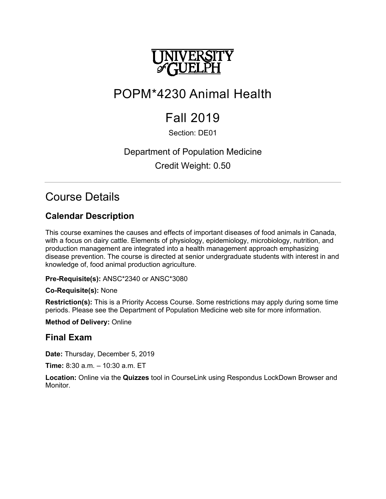

# POPM\*4230 Animal Health

# Fall 2019

# Section: DE01

# Department of Population Medicine Credit Weight: 0.50

# Course Details

# **Calendar Description**

This course examines the causes and effects of important diseases of food animals in Canada, with a focus on dairy cattle. Elements of physiology, epidemiology, microbiology, nutrition, and production management are integrated into a health management approach emphasizing disease prevention. The course is directed at senior undergraduate students with interest in and knowledge of, food animal production agriculture.

**Pre-Requisite(s):** ANSC\*2340 or ANSC\*3080

## **Co-Requisite(s):** None

**Restriction(s):** This is a Priority Access Course. Some restrictions may apply during some time periods. Please see the Department of Population Medicine web site for more information.

## **Method of Delivery:** Online

# **Final Exam**

**Date:** Thursday, December 5, 2019

**Time:** 8:30 a.m. – 10:30 a.m. ET

**Location:** Online via the **Quizzes** tool in CourseLink using Respondus LockDown Browser and Monitor.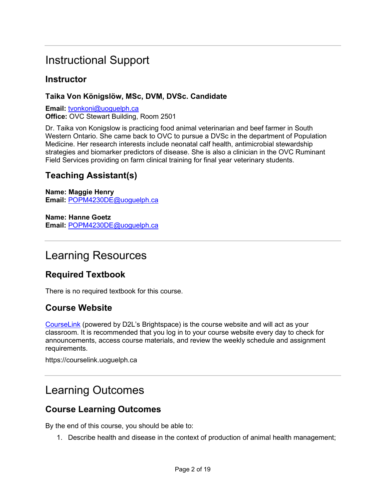# Instructional Support

## **Instructor**

## **Taika Von Königslöw, MSc, DVM, DVSc. Candidate**

**Email:** [tvonkoni@uoguelph.ca](mailto:tvonkoni@uoguelph.ca) **Office:** OVC Stewart Building, Room 2501

Dr. Taika von Konigslow is practicing food animal veterinarian and beef farmer in South Western Ontario. She came back to OVC to pursue a DVSc in the department of Population Medicine. Her research interests include neonatal calf health, antimicrobial stewardship strategies and biomarker predictors of disease. She is also a clinician in the OVC Ruminant Field Services providing on farm clinical training for final year veterinary students.

# **Teaching Assistant(s)**

**Name: Maggie Henry Email:** [POPM4230DE@uoguelph.ca](mailto:POPM4230DE@uoguelph.ca)

**Name: Hanne Goetz Email:** [POPM4230DE@uoguelph.ca](mailto:POPM4230DE@uoguelph.ca)

# Learning Resources

# **Required Textbook**

There is no required textbook for this course.

# **Course Website**

[CourseLink](https://courselink.uoguelph.ca/) (powered by D2L's Brightspace) is the course website and will act as your classroom. It is recommended that you log in to your course website every day to check for announcements, access course materials, and review the weekly schedule and assignment requirements.

https://courselink.uoguelph.ca

# Learning Outcomes

# **Course Learning Outcomes**

By the end of this course, you should be able to:

1. Describe health and disease in the context of production of animal health management;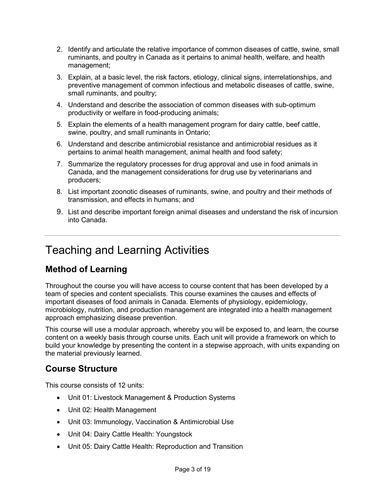- 2. Identify and articulate the relative importance of common diseases of cattle, swine, small ruminants, and poultry in Canada as it pertains to animal health, welfare, and health management;
- 3. Explain, at a basic level, the risk factors, etiology, clinical signs, interrelationships, and preventive management of common infectious and metabolic diseases of cattle, swine, small ruminants, and poultry;
- 4. Understand and describe the association of common diseases with sub-optimum productivity or welfare in food-producing animals;
- 5. Explain the elements of a health management program for dairy cattle, beef cattle, swine, poultry, and small ruminants in Ontario;
- 6. Understand and describe antimicrobial resistance and antimicrobial residues as it pertains to animal health management, animal health and food safety;
- 7. Summarize the regulatory processes for drug approval and use in food animals in Canada, and the management considerations for drug use by veterinarians and producers;
- 8. List important zoonotic diseases of ruminants, swine, and poultry and their methods of transmission, and effects in humans; and
- 9. List and describe important foreign animal diseases and understand the risk of incursion into Canada.

# Teaching and Learning Activities

# **Method of Learning**

Throughout the course you will have access to course content that has been developed by a team of species and content specialists. This course examines the causes and effects of important diseases of food animals in Canada. Elements of physiology, epidemiology, microbiology, nutrition, and production management are integrated into a health management approach emphasizing disease prevention.

This course will use a modular approach, whereby you will be exposed to, and learn, the course content on a weekly basis through course units. Each unit will provide a framework on which to build your knowledge by presenting the content in a stepwise approach, with units expanding on the material previously learned.

# **Course Structure**

This course consists of 12 units:

- Unit 01: Livestock Management & Production Systems
- Unit 02: Health Management
- Unit 03: Immunology, Vaccination & Antimicrobial Use
- Unit 04: Dairy Cattle Health: Youngstock
- Unit 05: Dairy Cattle Health: Reproduction and Transition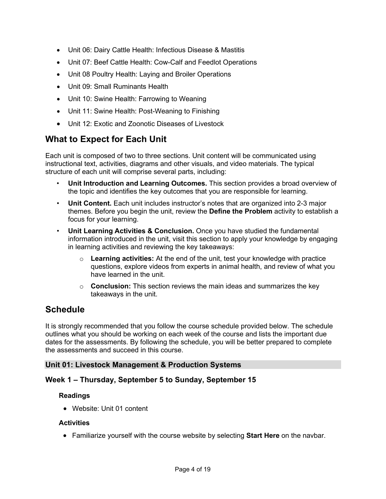- Unit 06: Dairy Cattle Health: Infectious Disease & Mastitis
- Unit 07: Beef Cattle Health: Cow-Calf and Feedlot Operations
- Unit 08 Poultry Health: Laying and Broiler Operations
- Unit 09: Small Ruminants Health
- Unit 10: Swine Health: Farrowing to Weaning
- Unit 11: Swine Health: Post-Weaning to Finishing
- Unit 12: Exotic and Zoonotic Diseases of Livestock

## **What to Expect for Each Unit**

Each unit is composed of two to three sections. Unit content will be communicated using instructional text, activities, diagrams and other visuals, and video materials. The typical structure of each unit will comprise several parts, including:

- **Unit Introduction and Learning Outcomes.** This section provides a broad overview of the topic and identifies the key outcomes that you are responsible for learning.
- **Unit Content.** Each unit includes instructor's notes that are organized into 2-3 major themes. Before you begin the unit, review the **Define the Problem** activity to establish a focus for your learning.
- **Unit Learning Activities & Conclusion.** Once you have studied the fundamental information introduced in the unit, visit this section to apply your knowledge by engaging in learning activities and reviewing the key takeaways:
	- o **Learning activities:** At the end of the unit, test your knowledge with practice questions, explore videos from experts in animal health, and review of what you have learned in the unit.
	- o **Conclusion:** This section reviews the main ideas and summarizes the key takeaways in the unit.

# **Schedule**

It is strongly recommended that you follow the course schedule provided below. The schedule outlines what you should be working on each week of the course and lists the important due dates for the assessments. By following the schedule, you will be better prepared to complete the assessments and succeed in this course.

## **Unit 01: Livestock Management & Production Systems**

## **Week 1 – Thursday, September 5 to Sunday, September 15**

#### **Readings**

• Website: Unit 01 content

#### **Activities**

• Familiarize yourself with the course website by selecting **Start Here** on the navbar.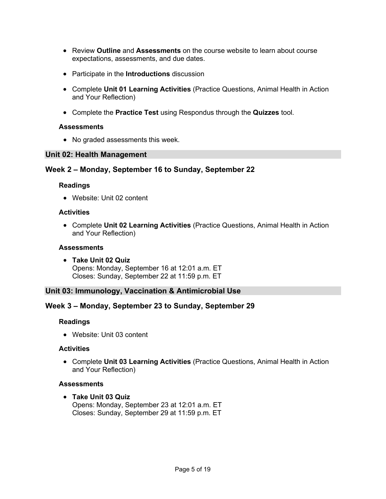- Review **Outline** and **Assessments** on the course website to learn about course expectations, assessments, and due dates.
- Participate in the **Introductions** discussion
- Complete **Unit 01 Learning Activities** (Practice Questions, Animal Health in Action and Your Reflection)
- Complete the **Practice Test** using Respondus through the **Quizzes** tool.

#### **Assessments**

• No graded assessments this week.

#### **Unit 02: Health Management**

### **Week 2 – Monday, September 16 to Sunday, September 22**

#### **Readings**

• Website: Unit 02 content

#### **Activities**

• Complete **Unit 02 Learning Activities** (Practice Questions, Animal Health in Action and Your Reflection)

#### **Assessments**

• **Take Unit 02 Quiz**  Opens: Monday, September 16 at 12:01 a.m. ET Closes: Sunday, September 22 at 11:59 p.m. ET

#### **Unit 03: Immunology, Vaccination & Antimicrobial Use**

#### **Week 3 – Monday, September 23 to Sunday, September 29**

#### **Readings**

• Website: Unit 03 content

#### **Activities**

• Complete **Unit 03 Learning Activities** (Practice Questions, Animal Health in Action and Your Reflection)

#### **Assessments**

• **Take Unit 03 Quiz**  Opens: Monday, September 23 at 12:01 a.m. ET Closes: Sunday, September 29 at 11:59 p.m. ET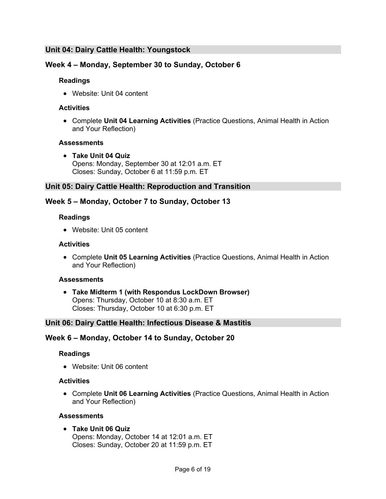## **Unit 04: Dairy Cattle Health: Youngstock**

## **Week 4 – Monday, September 30 to Sunday, October 6**

#### **Readings**

• Website: Unit 04 content

#### **Activities**

• Complete **Unit 04 Learning Activities** (Practice Questions, Animal Health in Action and Your Reflection)

#### **Assessments**

• **Take Unit 04 Quiz**  Opens: Monday, September 30 at 12:01 a.m. ET Closes: Sunday, October 6 at 11:59 p.m. ET

### **Unit 05: Dairy Cattle Health: Reproduction and Transition**

## **Week 5 – Monday, October 7 to Sunday, October 13**

#### **Readings**

• Website: Unit 05 content

#### **Activities**

• Complete **Unit 05 Learning Activities** (Practice Questions, Animal Health in Action and Your Reflection)

#### **Assessments**

• **Take Midterm 1 (with Respondus LockDown Browser)** Opens: Thursday, October 10 at 8:30 a.m. ET Closes: Thursday, October 10 at 6:30 p.m. ET

#### **Unit 06: Dairy Cattle Health: Infectious Disease & Mastitis**

## **Week 6 – Monday, October 14 to Sunday, October 20**

#### **Readings**

• Website: Unit 06 content

#### **Activities**

• Complete **Unit 06 Learning Activities** (Practice Questions, Animal Health in Action and Your Reflection)

#### **Assessments**

• **Take Unit 06 Quiz**  Opens: Monday, October 14 at 12:01 a.m. ET Closes: Sunday, October 20 at 11:59 p.m. ET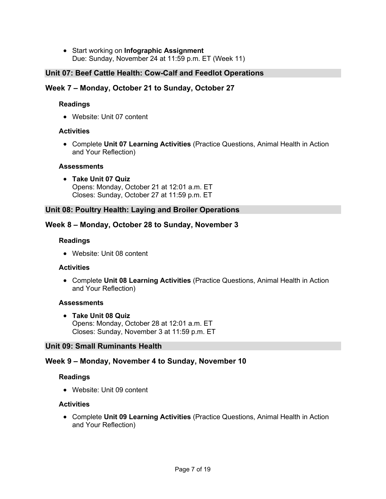• Start working on **Infographic Assignment** Due: Sunday, November 24 at 11:59 p.m. ET (Week 11)

## **Unit 07: Beef Cattle Health: Cow-Calf and Feedlot Operations**

## **Week 7 – Monday, October 21 to Sunday, October 27**

### **Readings**

• Website: Unit 07 content

### **Activities**

• Complete **Unit 07 Learning Activities** (Practice Questions, Animal Health in Action and Your Reflection)

#### **Assessments**

• **Take Unit 07 Quiz**  Opens: Monday, October 21 at 12:01 a.m. ET Closes: Sunday, October 27 at 11:59 p.m. ET

### **Unit 08: Poultry Health: Laying and Broiler Operations**

### **Week 8 – Monday, October 28 to Sunday, November 3**

#### **Readings**

• Website: Unit 08 content

#### **Activities**

• Complete **Unit 08 Learning Activities** (Practice Questions, Animal Health in Action and Your Reflection)

#### **Assessments**

• **Take Unit 08 Quiz**  Opens: Monday, October 28 at 12:01 a.m. ET Closes: Sunday, November 3 at 11:59 p.m. ET

#### **Unit 09: Small Ruminants Health**

## **Week 9 – Monday, November 4 to Sunday, November 10**

#### **Readings**

• Website: Unit 09 content

#### **Activities**

• Complete **Unit 09 Learning Activities** (Practice Questions, Animal Health in Action and Your Reflection)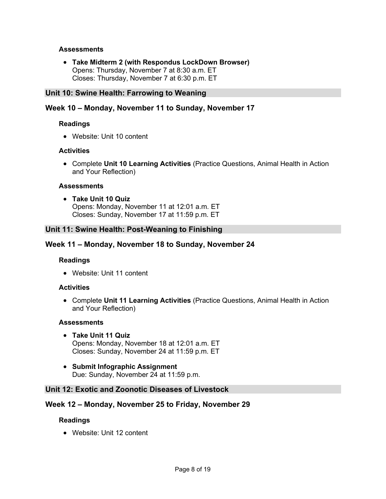#### **Assessments**

• **Take Midterm 2 (with Respondus LockDown Browser)** Opens: Thursday, November 7 at 8:30 a.m. ET Closes: Thursday, November 7 at 6:30 p.m. ET

#### **Unit 10: Swine Health: Farrowing to Weaning**

#### **Week 10 – Monday, November 11 to Sunday, November 17**

#### **Readings**

• Website: Unit 10 content

#### **Activities**

• Complete **Unit 10 Learning Activities** (Practice Questions, Animal Health in Action and Your Reflection)

#### **Assessments**

• **Take Unit 10 Quiz** Opens: Monday, November 11 at 12:01 a.m. ET Closes: Sunday, November 17 at 11:59 p.m. ET

#### **Unit 11: Swine Health: Post-Weaning to Finishing**

#### **Week 11 – Monday, November 18 to Sunday, November 24**

#### **Readings**

• Website: Unit 11 content

#### **Activities**

• Complete **Unit 11 Learning Activities** (Practice Questions, Animal Health in Action and Your Reflection)

#### **Assessments**

- **Take Unit 11 Quiz** Opens: Monday, November 18 at 12:01 a.m. ET Closes: Sunday, November 24 at 11:59 p.m. ET
- **Submit Infographic Assignment** Due: Sunday, November 24 at 11:59 p.m.

### **Unit 12: Exotic and Zoonotic Diseases of Livestock**

#### **Week 12 – Monday, November 25 to Friday, November 29**

#### **Readings**

• Website: Unit 12 content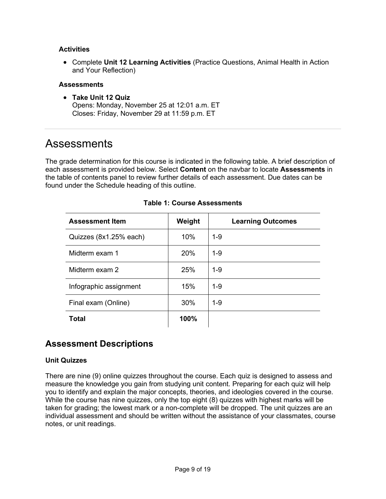#### **Activities**

• Complete **Unit 12 Learning Activities** (Practice Questions, Animal Health in Action and Your Reflection)

#### **Assessments**

• **Take Unit 12 Quiz**  Opens: Monday, November 25 at 12:01 a.m. ET Closes: Friday, November 29 at 11:59 p.m. ET

# Assessments

The grade determination for this course is indicated in the following table. A brief description of each assessment is provided below. Select **Content** on the navbar to locate **Assessments** in the table of contents panel to review further details of each assessment. Due dates can be found under the Schedule heading of this outline.

| <b>Assessment Item</b> | Weight | <b>Learning Outcomes</b> |
|------------------------|--------|--------------------------|
| Quizzes (8x1.25% each) | 10%    | 1-9                      |
| Midterm exam 1         | 20%    | 1-9                      |
| Midterm exam 2         | 25%    | $1 - 9$                  |
| Infographic assignment | 15%    | 1-9                      |
| Final exam (Online)    | 30%    | 1-9                      |
| Total                  | 100%   |                          |

### **Table 1: Course Assessments**

# **Assessment Descriptions**

#### **Unit Quizzes**

There are nine (9) online quizzes throughout the course. Each quiz is designed to assess and measure the knowledge you gain from studying unit content. Preparing for each quiz will help you to identify and explain the major concepts, theories, and ideologies covered in the course. While the course has nine quizzes, only the top eight (8) quizzes with highest marks will be taken for grading; the lowest mark or a non-complete will be dropped. The unit quizzes are an individual assessment and should be written without the assistance of your classmates, course notes, or unit readings.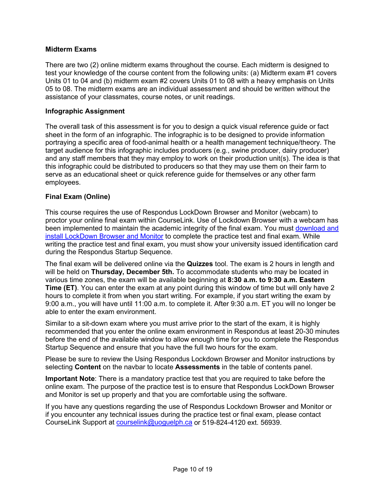### **Midterm Exams**

There are two (2) online midterm exams throughout the course. Each midterm is designed to test your knowledge of the course content from the following units: (a) Midterm exam #1 covers Units 01 to 04 and (b) midterm exam #2 covers Units 01 to 08 with a heavy emphasis on Units 05 to 08. The midterm exams are an individual assessment and should be written without the assistance of your classmates, course notes, or unit readings.

#### **Infographic Assignment**

The overall task of this assessment is for you to design a quick visual reference guide or fact sheet in the form of an infographic. The infographic is to be designed to provide information portraying a specific area of food-animal health or a health management technique/theory. The target audience for this infographic includes producers (e.g., swine producer, dairy producer) and any staff members that they may employ to work on their production unit(s). The idea is that this infographic could be distributed to producers so that they may use them on their farm to serve as an educational sheet or quick reference guide for themselves or any other farm employees.

#### **Final Exam (Online)**

This course requires the use of Respondus LockDown Browser and Monitor (webcam) to proctor your online final exam within CourseLink. Use of Lockdown Browser with a webcam has been implemented to maintain the academic integrity of the final exam. You must download and [install LockDown Browser and Monitor](http://www.respondus.com/lockdown/download.php?id=273932365) to complete the practice test and final exam. While writing the practice test and final exam, you must show your university issued identification card during the Respondus Startup Sequence.

The final exam will be delivered online via the **Quizzes** tool. The exam is 2 hours in length and will be held on **Thursday, December 5th.** To accommodate students who may be located in various time zones, the exam will be available beginning at **8:30 a.m. to 9:30 a.m. Eastern Time (ET)**. You can enter the exam at any point during this window of time but will only have 2 hours to complete it from when you start writing. For example, if you start writing the exam by 9:00 a.m., you will have until 11:00 a.m. to complete it. After 9:30 a.m. ET you will no longer be able to enter the exam environment.

Similar to a sit-down exam where you must arrive prior to the start of the exam, it is highly recommended that you enter the online exam environment in Respondus at least 20-30 minutes before the end of the available window to allow enough time for you to complete the Respondus Startup Sequence and ensure that you have the full two hours for the exam.

Please be sure to review the Using Respondus Lockdown Browser and Monitor instructions by selecting **Content** on the navbar to locate **Assessments** in the table of contents panel.

**Important Note**: There is a mandatory practice test that you are required to take before the online exam. The purpose of the practice test is to ensure that Respondus LockDown Browser and Monitor is set up properly and that you are comfortable using the software.

If you have any questions regarding the use of Respondus Lockdown Browser and Monitor or if you encounter any technical issues during the practice test or final exam, please contact CourseLink Support at [courselink@uoguelph.ca](mailto:courselink@uoguelph.ca) or 519-824-4120 ext. 56939.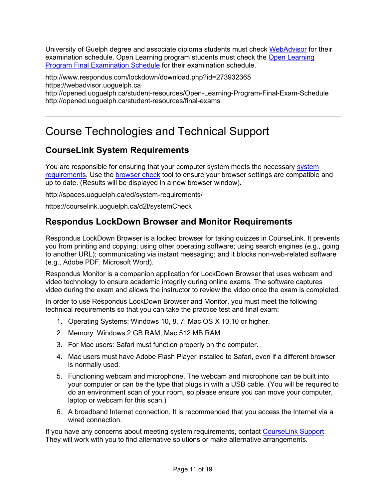University of Guelph degree and associate diploma students must check [WebAdvisor](https://webadvisor.uoguelph.ca/WebAdvisor/WebAdvisor?TYPE=M&PID=CORE-WBMAIN&TOKENIDX=2188266810) for their examination schedule. Open Learning program students must check the [Open Learning](http://opened.uoguelph.ca/student-resources/Open-Learning-Program-Final-Exam-Schedule.aspx)  [Program Final Examination Schedule](http://opened.uoguelph.ca/student-resources/Open-Learning-Program-Final-Exam-Schedule.aspx) for their examination schedule.

http://www.respondus.com/lockdown/download.php?id=273932365 https://webadvisor.uoguelph.ca http://opened.uoguelph.ca/student-resources/Open-Learning-Program-Final-Exam-Schedule http://opened.uoguelph.ca/student-resources/final-exams

# Course Technologies and Technical Support

# **CourseLink System Requirements**

You are responsible for ensuring that your computer system meets the necessary [system](http://spaces.uoguelph.ca/ed/system-requirements/)  [requirements.](http://spaces.uoguelph.ca/ed/system-requirements/) Use the [browser check](http://courselink.uoguelph.ca/d2l/tools/system_check/systemcheck.asp?ou=6605) tool to ensure your browser settings are compatible and up to date. (Results will be displayed in a new browser window).

http://spaces.uoguelph.ca/ed/system-requirements/

https://courselink.uoguelph.ca/d2l/systemCheck

## **Respondus LockDown Browser and Monitor Requirements**

Respondus LockDown Browser is a locked browser for taking quizzes in CourseLink. It prevents you from printing and copying; using other operating software; using search engines (e.g., going to another URL); communicating via instant messaging; and it blocks non-web-related software (e.g., Adobe PDF, Microsoft Word).

Respondus Monitor is a companion application for LockDown Browser that uses webcam and video technology to ensure academic integrity during online exams. The software captures video during the exam and allows the instructor to review the video once the exam is completed.

In order to use Respondus LockDown Browser and Monitor, you must meet the following technical requirements so that you can take the practice test and final exam:

- 1. Operating Systems: Windows 10, 8, 7; Mac OS X 10.10 or higher.
- 2. Memory: Windows 2 GB RAM; Mac 512 MB RAM.
- 3. For Mac users: Safari must function properly on the computer.
- 4. Mac users must have Adobe Flash Player installed to Safari, even if a different browser is normally used.
- 5. Functioning webcam and microphone. The webcam and microphone can be built into your computer or can be the type that plugs in with a USB cable. (You will be required to do an environment scan of your room, so please ensure you can move your computer, laptop or webcam for this scan.)
- 6. A broadband Internet connection. It is recommended that you access the Internet via a wired connection.

If you have any concerns about meeting system requirements, contact [CourseLink Support.](http://spaces.uoguelph.ca/ed/contact-us/) They will work with you to find alternative solutions or make alternative arrangements.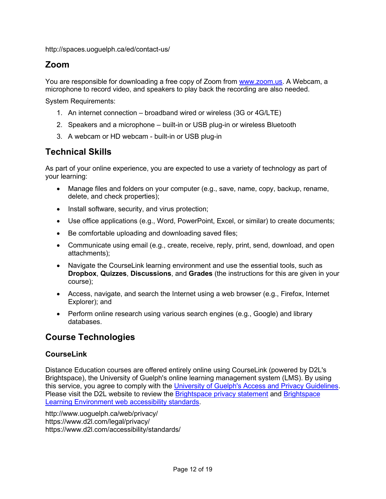http://spaces.uoguelph.ca/ed/contact-us/

# **Zoom**

You are responsible for downloading a free copy of Zoom from www.zoom.us. A Webcam, a microphone to record video, and speakers to play back the recording are also needed.

System Requirements:

- 1. An internet connection broadband wired or wireless (3G or 4G/LTE)
- 2. Speakers and a microphone built-in or USB plug-in or wireless Bluetooth
- 3. A webcam or HD webcam built-in or USB plug-in

# **Technical Skills**

As part of your online experience, you are expected to use a variety of technology as part of your learning:

- Manage files and folders on your computer (e.g., save, name, copy, backup, rename, delete, and check properties);
- Install software, security, and virus protection;
- Use office applications (e.g., Word, PowerPoint, Excel, or similar) to create documents;
- Be comfortable uploading and downloading saved files;
- Communicate using email (e.g., create, receive, reply, print, send, download, and open attachments);
- Navigate the CourseLink learning environment and use the essential tools, such as **Dropbox**, **Quizzes**, **Discussions**, and **Grades** (the instructions for this are given in your course);
- Access, navigate, and search the Internet using a web browser (e.g., Firefox, Internet Explorer); and
- Perform online research using various search engines (e.g., Google) and library databases.

# **Course Technologies**

## **CourseLink**

Distance Education courses are offered entirely online using CourseLink (powered by D2L's Brightspace), the University of Guelph's online learning management system (LMS). By using this service, you agree to comply with the [University of Guelph's Access and Privacy Guidelines.](http://www.uoguelph.ca/web/privacy/) Please visit the D2L website to review the [Brightspace privacy statement](http://www.d2l.com/legal/privacy/) and Brightspace [Learning Environment web accessibility standards.](http://www.d2l.com/accessibility/standards/)

http://www.uoguelph.ca/web/privacy/ https://www.d2l.com/legal/privacy/ https://www.d2l.com/accessibility/standards/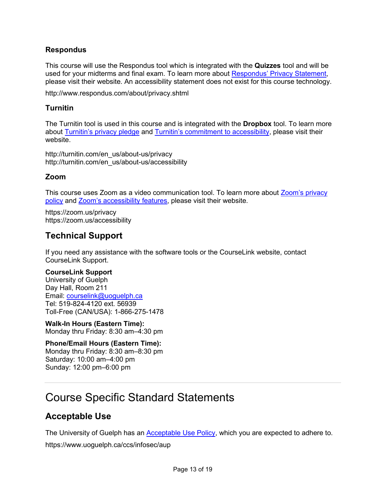## **Respondus**

This course will use the Respondus tool which is integrated with the **Quizzes** tool and will be used for your midterms and final exam. To learn more about [Respondus' Privacy Statement,](http://www.respondus.com/about/privacy.shtml) please visit their website. An accessibility statement does not exist for this course technology.

http://www.respondus.com/about/privacy.shtml

## **Turnitin**

The Turnitin tool is used in this course and is integrated with the **Dropbox** tool. To learn more about [Turnitin's privacy pledge](http://turnitin.com/en_us/about-us/privacy) and [Turnitin's commitment to accessibility,](http://turnitin.com/en_us/about-us/accessibility) please visit their website.

http://turnitin.com/en\_us/about-us/privacy http://turnitin.com/en\_us/about-us/accessibility

## **Zoom**

This course uses Zoom as a video communication tool. To learn more about [Zoom's privacy](https://zoom.us/privacy)  [policy](https://zoom.us/privacy) and **Zoom's accessibility features**, please visit their website.

https://zoom.us/privacy https://zoom.us/accessibility

## **Technical Support**

If you need any assistance with the software tools or the CourseLink website, contact CourseLink Support.

#### **CourseLink Support**

University of Guelph Day Hall, Room 211 Email: [courselink@uoguelph.ca](mailto:courselink@uoguelph.ca) Tel: 519-824-4120 ext. 56939 Toll-Free (CAN/USA): 1-866-275-1478

**Walk-In Hours (Eastern Time):** Monday thru Friday: 8:30 am–4:30 pm

**Phone/Email Hours (Eastern Time):** Monday thru Friday: 8:30 am–8:30 pm Saturday: 10:00 am–4:00 pm Sunday: 12:00 pm–6:00 pm

# Course Specific Standard Statements

# **Acceptable Use**

The University of Guelph has an [Acceptable Use Policy,](http://www.uoguelph.ca/cio/content/aup-acceptable-use-policy) which you are expected to adhere to.

https://www.uoguelph.ca/ccs/infosec/aup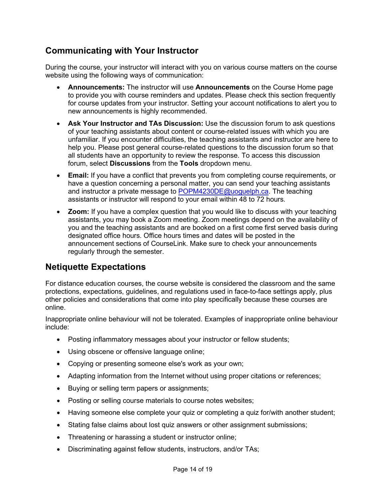# **Communicating with Your Instructor**

During the course, your instructor will interact with you on various course matters on the course website using the following ways of communication:

- **Announcements:** The instructor will use **Announcements** on the Course Home page to provide you with course reminders and updates. Please check this section frequently for course updates from your instructor. Setting your account notifications to alert you to new announcements is highly recommended.
- **Ask Your Instructor and TAs Discussion:** Use the discussion forum to ask questions of your teaching assistants about content or course-related issues with which you are unfamiliar. If you encounter difficulties, the teaching assistants and instructor are here to help you. Please post general course-related questions to the discussion forum so that all students have an opportunity to review the response. To access this discussion forum, select **Discussions** from the **Tools** dropdown menu.
- **Email:** If you have a conflict that prevents you from completing course requirements, or have a question concerning a personal matter, you can send your teaching assistants and instructor a private message to [POPM4230DE@uoguelph.ca.](mailto:POPM4230DE@uoguelph.ca) The teaching assistants or instructor will respond to your email within 48 to 72 hours.
- **Zoom:** If you have a complex question that you would like to discuss with your teaching assistants, you may book a Zoom meeting. Zoom meetings depend on the availability of you and the teaching assistants and are booked on a first come first served basis during designated office hours. Office hours times and dates will be posted in the announcement sections of CourseLink. Make sure to check your announcements regularly through the semester.

# **Netiquette Expectations**

For distance education courses, the course website is considered the classroom and the same protections, expectations, guidelines, and regulations used in face-to-face settings apply, plus other policies and considerations that come into play specifically because these courses are online.

Inappropriate online behaviour will not be tolerated. Examples of inappropriate online behaviour include:

- Posting inflammatory messages about your instructor or fellow students;
- Using obscene or offensive language online;
- Copying or presenting someone else's work as your own;
- Adapting information from the Internet without using proper citations or references;
- Buying or selling term papers or assignments;
- Posting or selling course materials to course notes websites;
- Having someone else complete your quiz or completing a quiz for/with another student;
- Stating false claims about lost quiz answers or other assignment submissions;
- Threatening or harassing a student or instructor online;
- Discriminating against fellow students, instructors, and/or TAs;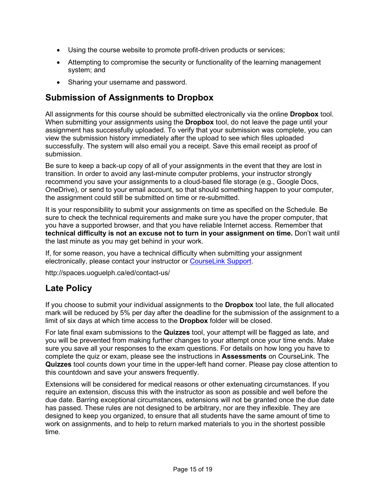- Using the course website to promote profit-driven products or services;
- Attempting to compromise the security or functionality of the learning management system; and
- Sharing your username and password.

# **Submission of Assignments to Dropbox**

All assignments for this course should be submitted electronically via the online **Dropbox** tool. When submitting your assignments using the **Dropbox** tool, do not leave the page until your assignment has successfully uploaded. To verify that your submission was complete, you can view the submission history immediately after the upload to see which files uploaded successfully. The system will also email you a receipt. Save this email receipt as proof of submission.

Be sure to keep a back-up copy of all of your assignments in the event that they are lost in transition. In order to avoid any last-minute computer problems, your instructor strongly recommend you save your assignments to a cloud-based file storage (e.g., Google Docs, OneDrive), or send to your email account, so that should something happen to your computer, the assignment could still be submitted on time or re-submitted.

It is your responsibility to submit your assignments on time as specified on the Schedule. Be sure to check the technical requirements and make sure you have the proper computer, that you have a supported browser, and that you have reliable Internet access. Remember that **technical difficulty is not an excuse not to turn in your assignment on time.** Don't wait until the last minute as you may get behind in your work.

If, for some reason, you have a technical difficulty when submitting your assignment electronically, please contact your instructor or [CourseLink Support.](http://spaces.uoguelph.ca/ed/contact-us/)

http://spaces.uoguelph.ca/ed/contact-us/

# **Late Policy**

If you choose to submit your individual assignments to the **Dropbox** tool late, the full allocated mark will be reduced by 5% per day after the deadline for the submission of the assignment to a limit of six days at which time access to the **Dropbox** folder will be closed.

For late final exam submissions to the **Quizzes** tool, your attempt will be flagged as late, and you will be prevented from making further changes to your attempt once your time ends. Make sure you save all your responses to the exam questions. For details on how long you have to complete the quiz or exam, please see the instructions in **Assessments** on CourseLink. The **Quizzes** tool counts down your time in the upper-left hand corner. Please pay close attention to this countdown and save your answers frequently.

Extensions will be considered for medical reasons or other extenuating circumstances. If you require an extension, discuss this with the instructor as soon as possible and well before the due date. Barring exceptional circumstances, extensions will not be granted once the due date has passed. These rules are not designed to be arbitrary, nor are they inflexible. They are designed to keep you organized, to ensure that all students have the same amount of time to work on assignments, and to help to return marked materials to you in the shortest possible time.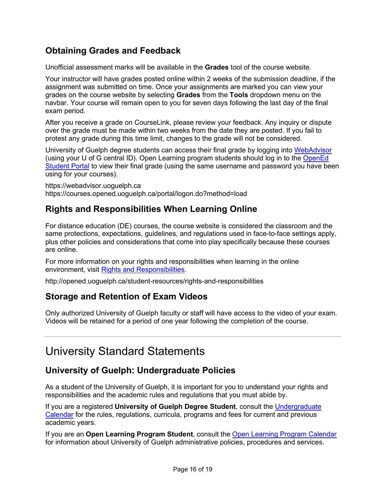# **Obtaining Grades and Feedback**

Unofficial assessment marks will be available in the **Grades** tool of the course website.

Your instructor will have grades posted online within 2 weeks of the submission deadline, if the assignment was submitted on time. Once your assignments are marked you can view your grades on the course website by selecting **Grades** from the **Tools** dropdown menu on the navbar. Your course will remain open to you for seven days following the last day of the final exam period.

After you receive a grade on CourseLink, please review your feedback. Any inquiry or dispute over the grade must be made within two weeks from the date they are posted. If you fail to protest any grade during this time limit, changes to the grade will not be considered.

University of Guelph degree students can access their final grade by logging into [WebAdvisor](https://webadvisor.uoguelph.ca/WebAdvisor/WebAdvisor?TYPE=M&PID=CORE-WBMAIN&TOKENIDX=2526105680) (using your U of G central ID). Open Learning program students should log in to the OpenEd [Student Portal](https://courses.opened.uoguelph.ca/portal/logon.do?method=load) to view their final grade (using the same username and password you have been using for your courses).

https://webadvisor.uoguelph.ca https://courses.opened.uoguelph.ca/portal/logon.do?method=load

# **Rights and Responsibilities When Learning Online**

For distance education (DE) courses, the course website is considered the classroom and the same protections, expectations, guidelines, and regulations used in face-to-face settings apply, plus other policies and considerations that come into play specifically because these courses are online.

For more information on your rights and responsibilities when learning in the online environment, visit [Rights and Responsibilities.](http://opened.uoguelph.ca/student-resources/rights-and-responsibilities)

http://opened.uoguelph.ca/student-resources/rights-and-responsibilities

# **Storage and Retention of Exam Videos**

Only authorized University of Guelph faculty or staff will have access to the video of your exam. Videos will be retained for a period of one year following the completion of the course.

# University Standard Statements

# **University of Guelph: Undergraduate Policies**

As a student of the University of Guelph, it is important for you to understand your rights and responsibilities and the academic rules and regulations that you must abide by.

If you are a registered **University of Guelph Degree Student**, consult the [Undergraduate](http://www.uoguelph.ca/registrar/calendars/undergraduate/current/)  [Calendar](http://www.uoguelph.ca/registrar/calendars/undergraduate/current/) for the rules, regulations, curricula, programs and fees for current and previous academic years.

If you are an **Open Learning Program Student**, consult the [Open Learning Program Calendar](http://opened.uoguelph.ca/en/students/open-learning-program-calendar.asp) for information about University of Guelph administrative policies, procedures and services.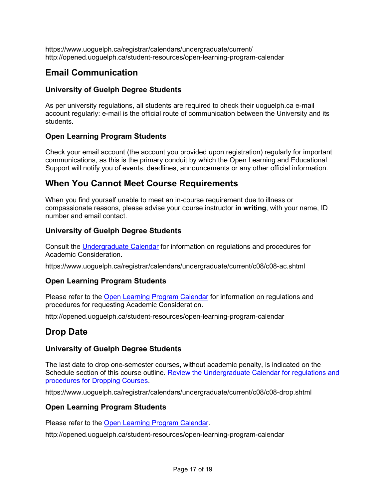https://www.uoguelph.ca/registrar/calendars/undergraduate/current/ http://opened.uoguelph.ca/student-resources/open-learning-program-calendar

# **Email Communication**

## **University of Guelph Degree Students**

As per university regulations, all students are required to check their uoguelph.ca e-mail account regularly: e-mail is the official route of communication between the University and its students.

## **Open Learning Program Students**

Check your email account (the account you provided upon registration) regularly for important communications, as this is the primary conduit by which the Open Learning and Educational Support will notify you of events, deadlines, announcements or any other official information.

## **When You Cannot Meet Course Requirements**

When you find yourself unable to meet an in-course requirement due to illness or compassionate reasons, please advise your course instructor **in writing**, with your name, ID number and email contact.

## **University of Guelph Degree Students**

Consult the [Undergraduate Calendar](http://www.uoguelph.ca/registrar/calendars/undergraduate/current/c08/c08-ac.shtml) for information on regulations and procedures for Academic Consideration.

https://www.uoguelph.ca/registrar/calendars/undergraduate/current/c08/c08-ac.shtml

## **Open Learning Program Students**

Please refer to the [Open Learning Program Calendar](http://opened.uoguelph.ca/en/students/open-learning-program-calendar.asp) for information on regulations and procedures for requesting Academic Consideration.

http://opened.uoguelph.ca/student-resources/open-learning-program-calendar

# **Drop Date**

## **University of Guelph Degree Students**

The last date to drop one-semester courses, without academic penalty, is indicated on the Schedule section of this course outline. Review the Undergraduate Calendar for regulations and [procedures for Dropping Courses.](http://www.uoguelph.ca/registrar/calendars/undergraduate/current/c08/c08-drop.shtml)

https://www.uoguelph.ca/registrar/calendars/undergraduate/current/c08/c08-drop.shtml

## **Open Learning Program Students**

Please refer to the [Open Learning Program Calendar.](http://opened.uoguelph.ca/en/students/open-learning-program-calendar.asp)

http://opened.uoguelph.ca/student-resources/open-learning-program-calendar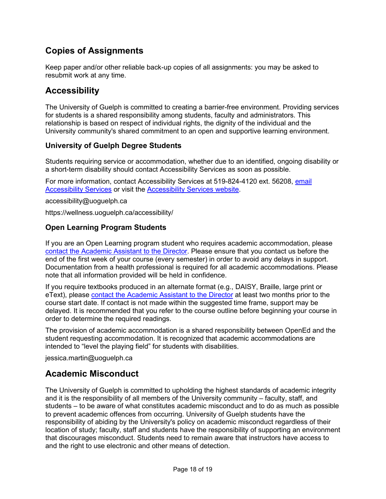# **Copies of Assignments**

Keep paper and/or other reliable back-up copies of all assignments: you may be asked to resubmit work at any time.

# **Accessibility**

The University of Guelph is committed to creating a barrier-free environment. Providing services for students is a shared responsibility among students, faculty and administrators. This relationship is based on respect of individual rights, the dignity of the individual and the University community's shared commitment to an open and supportive learning environment.

## **University of Guelph Degree Students**

Students requiring service or accommodation, whether due to an identified, ongoing disability or a short-term disability should contact Accessibility Services as soon as possible.

For more information, contact Accessibility Services at 519-824-4120 ext. 56208, [email](mailto:accessibility@uoguelph.ca)  [Accessibility Services](mailto:accessibility@uoguelph.ca) or visit the [Accessibility Services website.](https://wellness.uoguelph.ca/accessibility/)

accessibility@uoguelph.ca

https://wellness.uoguelph.ca/accessibility/

## **Open Learning Program Students**

If you are an Open Learning program student who requires academic accommodation, please [contact the Academic Assistant to the Director.](mailto:jessica.martin@uoguelph.ca) Please ensure that you contact us before the end of the first week of your course (every semester) in order to avoid any delays in support. Documentation from a health professional is required for all academic accommodations. Please note that all information provided will be held in confidence.

If you require textbooks produced in an alternate format (e.g., DAISY, Braille, large print or eText), please [contact the Academic Assistant to the Director](mailto:jessica.martin@uoguelph.ca) at least two months prior to the course start date. If contact is not made within the suggested time frame, support may be delayed. It is recommended that you refer to the course outline before beginning your course in order to determine the required readings.

The provision of academic accommodation is a shared responsibility between OpenEd and the student requesting accommodation. It is recognized that academic accommodations are intended to "level the playing field" for students with disabilities.

jessica.martin@uoguelph.ca

# **Academic Misconduct**

The University of Guelph is committed to upholding the highest standards of academic integrity and it is the responsibility of all members of the University community – faculty, staff, and students – to be aware of what constitutes academic misconduct and to do as much as possible to prevent academic offences from occurring. University of Guelph students have the responsibility of abiding by the University's policy on academic misconduct regardless of their location of study; faculty, staff and students have the responsibility of supporting an environment that discourages misconduct. Students need to remain aware that instructors have access to and the right to use electronic and other means of detection.